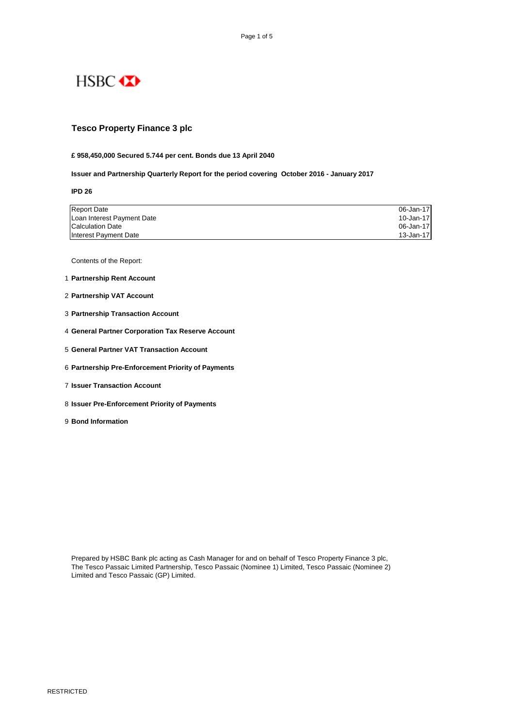# HSBC **XX**

## **Tesco Property Finance 3 plc**

#### **£ 958,450,000 Secured 5.744 per cent. Bonds due 13 April 2040**

**Issuer and Partnership Quarterly Report for the period covering October 2016 - January 2017**

**IPD 26**

| <b>Report Date</b>         | 06-Jan-17 |
|----------------------------|-----------|
| Loan Interest Payment Date | 10-Jan-17 |
| Calculation Date           | 06-Jan-17 |
| Interest Payment Date      | 13-Jan-17 |

Contents of the Report:

- 1 **Partnership Rent Account**
- 2 **Partnership VAT Account**
- 3 **Partnership Transaction Account**
- 4 **General Partner Corporation Tax Reserve Account**
- 5 **General Partner VAT Transaction Account**
- 6 **Partnership Pre-Enforcement Priority of Payments**
- 7 **Issuer Transaction Account**
- 8 **Issuer Pre-Enforcement Priority of Payments**
- 9 **Bond Information**

Prepared by HSBC Bank plc acting as Cash Manager for and on behalf of Tesco Property Finance 3 plc, The Tesco Passaic Limited Partnership, Tesco Passaic (Nominee 1) Limited, Tesco Passaic (Nominee 2) Limited and Tesco Passaic (GP) Limited.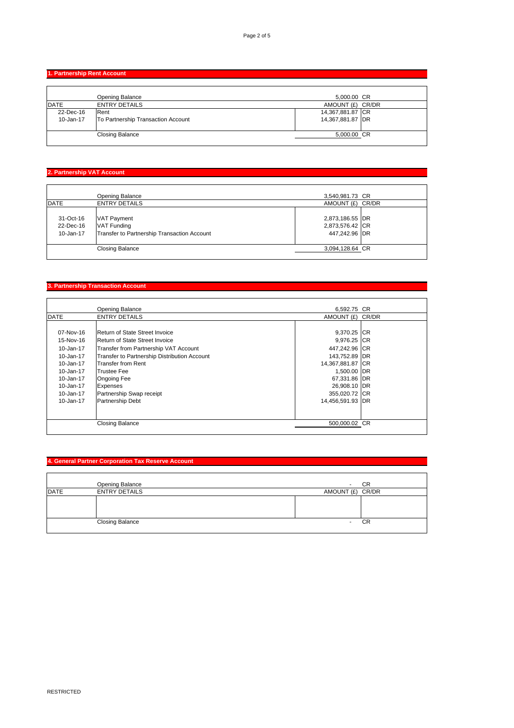**1. Partnership Rent Account** 

|              | Opening Balance                    | 5,000.00 CR      |  |
|--------------|------------------------------------|------------------|--|
| <b>IDATE</b> | <b>ENTRY DETAILS</b>               | AMOUNT (£) CR/DR |  |
| 22-Dec-16    | Rent                               | 14,367,881.87 CR |  |
| 10-Jan-17    | To Partnership Transaction Account | 14,367,881.87 DR |  |
|              |                                    |                  |  |
|              | <b>Closing Balance</b>             | 5,000.00 CR      |  |
|              |                                    |                  |  |

# **2. Partnership VAT Account**

|                                     | Opening Balance                                                                         | 3,540,981.73 CR                                     |  |
|-------------------------------------|-----------------------------------------------------------------------------------------|-----------------------------------------------------|--|
| <b>IDATE</b>                        | <b>ENTRY DETAILS</b>                                                                    | AMOUNT (£) CR/DR                                    |  |
| 31-Oct-16<br>22-Dec-16<br>10-Jan-17 | <b>VAT Payment</b><br><b>VAT Funding</b><br>Transfer to Partnership Transaction Account | 2,873,186.55 DR<br>2,873,576.42 CR<br>447,242.96 DR |  |
|                                     | <b>Closing Balance</b>                                                                  | 3,094,128.64 CR                                     |  |
|                                     |                                                                                         |                                                     |  |

### **3. Partnership Transaction Account**

|             | <b>Opening Balance</b>                       | 6.592.75 CR      |  |
|-------------|----------------------------------------------|------------------|--|
| <b>DATE</b> | <b>ENTRY DETAILS</b>                         | AMOUNT (£) CR/DR |  |
|             |                                              |                  |  |
| 07-Nov-16   | Return of State Street Invoice               | 9,370.25 CR      |  |
| 15-Nov-16   | Return of State Street Invoice               | 9,976.25 CR      |  |
| 10-Jan-17   | Transfer from Partnership VAT Account        | 447,242.96 CR    |  |
| 10-Jan-17   | Transfer to Partnership Distribution Account | 143,752.89 DR    |  |
| 10-Jan-17   | Transfer from Rent                           | 14,367,881.87 CR |  |
| 10-Jan-17   | <b>Trustee Fee</b>                           | 1,500.00 DR      |  |
| 10-Jan-17   | <b>Ongoing Fee</b>                           | 67,331.86 DR     |  |
| 10-Jan-17   | <b>Expenses</b>                              | 26,908.10 DR     |  |
| 10-Jan-17   | Partnership Swap receipt                     | 355,020.72 CR    |  |
| 10-Jan-17   | <b>Partnership Debt</b>                      | 14,456,591.93 DR |  |
|             |                                              |                  |  |
|             |                                              |                  |  |
|             | <b>Closing Balance</b>                       | 500.000.02 CR    |  |
|             |                                              |                  |  |

# **4. General Partner Corporation Tax Reserve Account**

|             | Opening Balance        |                          | CR        |
|-------------|------------------------|--------------------------|-----------|
| <b>DATE</b> | <b>ENTRY DETAILS</b>   | AMOUNT (£) CR/DR         |           |
|             |                        |                          |           |
|             | <b>Closing Balance</b> | $\overline{\phantom{a}}$ | <b>CR</b> |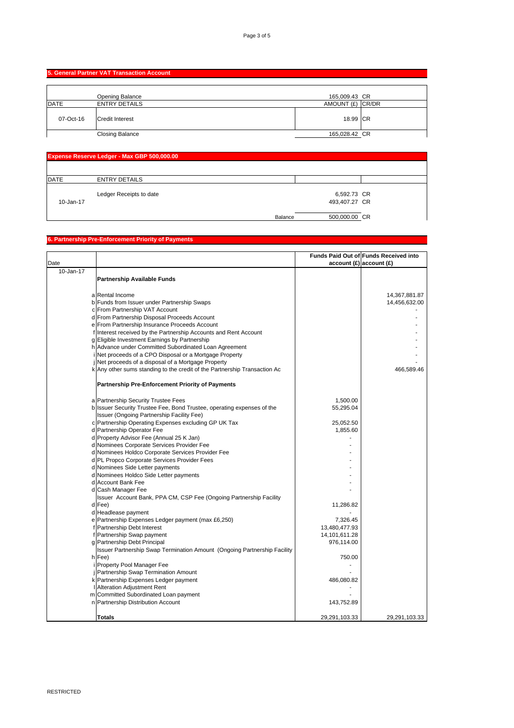# **5. General Partner VAT Transaction Account**

|              | Opening Balance        | 165,009.43 CR    |  |
|--------------|------------------------|------------------|--|
| <b>IDATE</b> | <b>ENTRY DETAILS</b>   | AMOUNT (£) CR/DR |  |
| 07-Oct-16    | <b>Credit Interest</b> | 18.99 CR         |  |
|              | <b>Closing Balance</b> | 165,028.42 CR    |  |

| Expense Reserve Ledger - Max GBP 500,000.00 |                         |         |               |  |
|---------------------------------------------|-------------------------|---------|---------------|--|
|                                             |                         |         |               |  |
| <b>IDATE</b>                                | <b>ENTRY DETAILS</b>    |         |               |  |
|                                             | Ledger Receipts to date |         | 6,592.73 CR   |  |
| 10-Jan-17                                   |                         |         | 493,407.27 CR |  |
|                                             |                         | Balance | 500,000.00 CR |  |

#### **6. Partnership Pre-Enforcement Priority of Payments**

|           |                                                                           |                            | Funds Paid Out of Funds Received into |
|-----------|---------------------------------------------------------------------------|----------------------------|---------------------------------------|
| Date      |                                                                           | $account(E)$ account $(E)$ |                                       |
| 10-Jan-17 |                                                                           |                            |                                       |
|           | <b>Partnership Available Funds</b>                                        |                            |                                       |
|           |                                                                           |                            |                                       |
|           | a Rental Income                                                           |                            | 14,367,881.87                         |
|           | b Funds from Issuer under Partnership Swaps                               |                            | 14,456,632.00                         |
|           | c From Partnership VAT Account                                            |                            |                                       |
|           | d From Partnership Disposal Proceeds Account                              |                            |                                       |
|           | e From Partnership Insurance Proceeds Account                             |                            |                                       |
|           | f Interest received by the Partnership Accounts and Rent Account          |                            |                                       |
|           | g Eligible Investment Earnings by Partnership                             |                            |                                       |
|           | h Advance under Committed Subordinated Loan Agreement                     |                            |                                       |
|           | i Net proceeds of a CPO Disposal or a Mortgage Property                   |                            |                                       |
|           | j Net proceeds of a disposal of a Mortgage Property                       |                            |                                       |
|           | k Any other sums standing to the credit of the Partnership Transaction Ac |                            | 466,589.46                            |
|           |                                                                           |                            |                                       |
|           | <b>Partnership Pre-Enforcement Priority of Payments</b>                   |                            |                                       |
|           |                                                                           |                            |                                       |
|           |                                                                           |                            |                                       |
|           | a Partnership Security Trustee Fees                                       | 1,500.00                   |                                       |
|           | b Issuer Security Trustee Fee, Bond Trustee, operating expenses of the    | 55,295.04                  |                                       |
|           | Issuer (Ongoing Partnership Facility Fee)                                 |                            |                                       |
|           | c Partnership Operating Expenses excluding GP UK Tax                      | 25,052.50                  |                                       |
|           | d Partnership Operator Fee                                                | 1,855.60                   |                                       |
|           | d Property Advisor Fee (Annual 25 K Jan)                                  |                            |                                       |
|           | d Nominees Corporate Services Provider Fee                                |                            |                                       |
|           | d Nominees Holdco Corporate Services Provider Fee                         |                            |                                       |
|           | d PL Propco Corporate Services Provider Fees                              |                            |                                       |
|           | d Nominees Side Letter payments                                           |                            |                                       |
|           | d Nominees Holdco Side Letter payments                                    |                            |                                       |
|           | d Account Bank Fee                                                        |                            |                                       |
|           | d Cash Manager Fee                                                        |                            |                                       |
|           | Issuer Account Bank, PPA CM, CSP Fee (Ongoing Partnership Facility        |                            |                                       |
|           | d Fee)                                                                    | 11,286.82                  |                                       |
|           | d Headlease payment                                                       |                            |                                       |
|           | e Partnership Expenses Ledger payment (max £6,250)                        | 7,326.45                   |                                       |
|           | f Partnership Debt Interest                                               | 13,480,477.93              |                                       |
|           | f Partnership Swap payment                                                | 14,101,611.28              |                                       |
|           | g Partnership Debt Principal                                              | 976,114.00                 |                                       |
|           | Issuer Partnership Swap Termination Amount (Ongoing Partnership Facility  |                            |                                       |
|           | h Fee)                                                                    | 750.00                     |                                       |
|           | i Property Pool Manager Fee                                               |                            |                                       |
|           | j Partnership Swap Termination Amount                                     |                            |                                       |
|           | k Partnership Expenses Ledger payment                                     | 486,080.82                 |                                       |
|           | <b>Alteration Adjustment Rent</b>                                         |                            |                                       |
|           | m Committed Subordinated Loan payment                                     |                            |                                       |
|           | n Partnership Distribution Account                                        | 143,752.89                 |                                       |
|           |                                                                           |                            |                                       |
|           | Totals                                                                    | 29,291,103.33              | 29,291,103.33                         |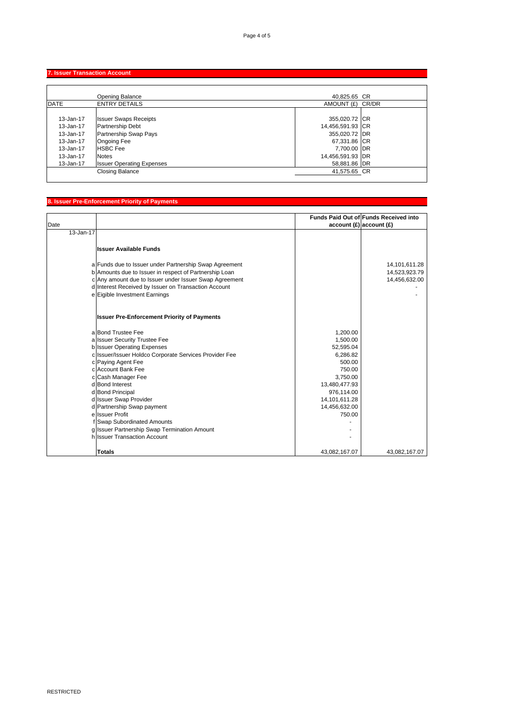# **7. Issuer Transaction Account**

|               | <b>Opening Balance</b>           | 40.825.65 CR     |  |
|---------------|----------------------------------|------------------|--|
| <b>DATE</b>   | <b>ENTRY DETAILS</b>             | AMOUNT (£) CR/DR |  |
|               |                                  |                  |  |
| 13-Jan-17     | <b>Issuer Swaps Receipts</b>     | 355,020.72 CR    |  |
| 13-Jan-17     | Partnership Debt                 | 14,456,591.93 CR |  |
| 13-Jan-17     | Partnership Swap Pays            | 355,020.72 DR    |  |
| $13 - Jan-17$ | <b>Ongoing Fee</b>               | 67,331.86 CR     |  |
| 13-Jan-17     | <b>HSBC Fee</b>                  | 7,700.00 DR      |  |
| 13-Jan-17     | <b>Notes</b>                     | 14,456,591.93 DR |  |
| 13-Jan-17     | <b>Issuer Operating Expenses</b> | 58,881.86 DR     |  |
|               | <b>Closing Balance</b>           | 41,575.65 CR     |  |

### **8. Issuer Pre-Enforcement Priority of Payments**

|           |                                                        |               | <b>Funds Paid Out of Funds Received into</b> |
|-----------|--------------------------------------------------------|---------------|----------------------------------------------|
| Date      |                                                        |               | $account(E)$ account $(E)$                   |
| 13-Jan-17 |                                                        |               |                                              |
|           | <b>Ilssuer Available Funds</b>                         |               |                                              |
|           |                                                        |               |                                              |
|           | a Funds due to Issuer under Partnership Swap Agreement |               | 14,101,611.28                                |
|           | b Amounts due to Issuer in respect of Partnership Loan |               | 14,523,923.79                                |
|           | c Any amount due to Issuer under Issuer Swap Agreement |               | 14,456,632.00                                |
|           | d Interest Received by Issuer on Transaction Account   |               |                                              |
|           | e Eigible Investment Earnings                          |               |                                              |
|           |                                                        |               |                                              |
|           | <b>Issuer Pre-Enforcement Priority of Payments</b>     |               |                                              |
|           | a Bond Trustee Fee                                     | 1,200.00      |                                              |
|           | a Issuer Security Trustee Fee                          | 1,500.00      |                                              |
|           | <b>b</b> Issuer Operating Expenses                     | 52,595.04     |                                              |
|           | c Issuer/Issuer Holdco Corporate Services Provider Fee | 6,286.82      |                                              |
|           | c Paying Agent Fee                                     | 500.00        |                                              |
|           | c Account Bank Fee                                     | 750.00        |                                              |
|           | c Cash Manager Fee                                     | 3,750.00      |                                              |
|           | d Bond Interest                                        | 13,480,477.93 |                                              |
|           | d Bond Principal                                       | 976,114.00    |                                              |
|           | d Issuer Swap Provider                                 | 14,101,611.28 |                                              |
|           | d Partnership Swap payment                             | 14,456,632.00 |                                              |
|           | e Issuer Profit                                        | 750.00        |                                              |
|           | f Swap Subordinated Amounts                            |               |                                              |
|           | g Issuer Partnership Swap Termination Amount           |               |                                              |
|           | h Issuer Transaction Account                           |               |                                              |
|           | <b>Totals</b>                                          | 43,082,167.07 | 43,082,167.07                                |